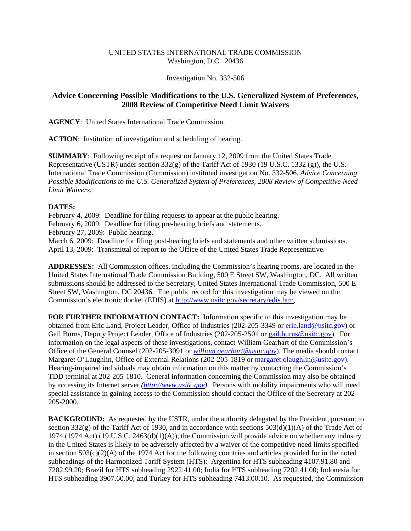## UNITED STATES INTERNATIONAL TRADE COMMISSION Washington, D.C. 20436

Investigation No. 332-506

## **Advice Concerning Possible Modifications to the U.S. Generalized System of Preferences, 2008 Review of Competitive Need Limit Waivers**

**AGENCY**: United States International Trade Commission.

**ACTION**: Institution of investigation and scheduling of hearing.

**SUMMARY**: Following receipt of a request on January 12, 2009 from the United States Trade Representative (USTR) under section  $332(g)$  of the Tariff Act of 1930 (19 U.S.C. 1332 (g)), the U.S. International Trade Commission (Commission) instituted investigation No. 332-506, *Advice Concerning Possible Modifications to the U.S. Generalized System of Preferences, 2008 Review of Competitive Need Limit Waivers.*

## **DATES:**

February 4, 2009: Deadline for filing requests to appear at the public hearing. February 6, 2009: Deadline for filing pre-hearing briefs and statements. February 27, 2009: Public hearing. March 6, 2009: Deadline for filing post-hearing briefs and statements and other written submissions. April 13, 2009: Transmittal of report to the Office of the United States Trade Representative.

**ADDRESSES:** All Commission offices, including the Commission's hearing rooms, are located in the United States International Trade Commission Building, 500 E Street SW, Washington, DC. All written submissions should be addressed to the Secretary, United States International Trade Commission, 500 E Street SW, Washington, DC 20436. The public record for this investigation may be viewed on the Commission's electronic docket (EDIS) at http://www.usitc.gov/secretary/edis.htm.

**FOR FURTHER INFORMATION CONTACT:** Information specific to this investigation may be obtained from Eric Land, Project Leader, Office of Industries (202-205-3349 or eric.land@usitc.gov) or Gail Burns, Deputy Project Leader, Office of Industries (202-205-2501 or gail.burns@usitc.gov). For information on the legal aspects of these investigations, contact William Gearhart of the Commission's Office of the General Counsel (202-205-3091 or *william.gearhart@usitc.gov*). The media should contact Margaret O'Laughlin, Office of External Relations (202-205-1819 or margaret.olaughlin@usitc.gov). Hearing-impaired individuals may obtain information on this matter by contacting the Commission's TDD terminal at 202-205-1810. General information concerning the Commission may also be obtained by accessing its Internet server *(http://www.usitc.gov)*. Persons with mobility impairments who will need special assistance in gaining access to the Commission should contact the Office of the Secretary at 202- 205-2000.

**BACKGROUND:** As requested by the USTR, under the authority delegated by the President, pursuant to section 332(g) of the Tariff Act of 1930, and in accordance with sections  $503(d)(1)(A)$  of the Trade Act of 1974 (1974 Act) (19 U.S.C. 2463(d)(1)(A)), the Commission will provide advice on whether any industry in the United States is likely to be adversely affected by a waiver of the competitive need limits specified in section  $503(c)(2)(A)$  of the 1974 Act for the following countries and articles provided for in the noted subheadings of the Harmonized Tariff System (HTS): Argentina for HTS subheading 4107.91.80 and 7202.99.20; Brazil for HTS subheading 2922.41.00; India for HTS subheading 7202.41.00; Indonesia for HTS subheading 3907.60.00; and Turkey for HTS subheading 7413.00.10. As requested, the Commission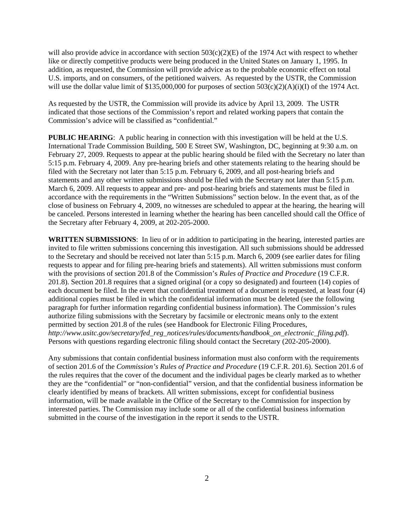will also provide advice in accordance with section  $503(c)(2)(E)$  of the 1974 Act with respect to whether like or directly competitive products were being produced in the United States on January 1, 1995. In addition, as requested, the Commission will provide advice as to the probable economic effect on total U.S. imports, and on consumers, of the petitioned waivers. As requested by the USTR, the Commission will use the dollar value limit of \$135,000,000 for purposes of section  $503(c)(2)(A)(i)(I)$  of the 1974 Act.

As requested by the USTR, the Commission will provide its advice by April 13, 2009. The USTR indicated that those sections of the Commission's report and related working papers that contain the Commission's advice will be classified as "confidential."

**PUBLIC HEARING:** A public hearing in connection with this investigation will be held at the U.S. International Trade Commission Building, 500 E Street SW, Washington, DC, beginning at 9:30 a.m. on February 27, 2009. Requests to appear at the public hearing should be filed with the Secretary no later than 5:15 p.m. February 4, 2009. Any pre-hearing briefs and other statements relating to the hearing should be filed with the Secretary not later than 5:15 p.m. February 6, 2009, and all post-hearing briefs and statements and any other written submissions should be filed with the Secretary not later than 5:15 p.m. March 6, 2009. All requests to appear and pre- and post-hearing briefs and statements must be filed in accordance with the requirements in the "Written Submissions" section below. In the event that, as of the close of business on February 4, 2009, no witnesses are scheduled to appear at the hearing, the hearing will be canceled. Persons interested in learning whether the hearing has been cancelled should call the Office of the Secretary after February 4, 2009, at 202-205-2000.

**WRITTEN SUBMISSIONS**: In lieu of or in addition to participating in the hearing, interested parties are invited to file written submissions concerning this investigation. All such submissions should be addressed to the Secretary and should be received not later than 5:15 p.m. March 6, 2009 (see earlier dates for filing requests to appear and for filing pre-hearing briefs and statements). All written submissions must conform with the provisions of section 201.8 of the Commission's *Rules of Practice and Procedure* (19 C.F.R. 201.8). Section 201.8 requires that a signed original (or a copy so designated) and fourteen (14) copies of each document be filed. In the event that confidential treatment of a document is requested, at least four (4) additional copies must be filed in which the confidential information must be deleted (see the following paragraph for further information regarding confidential business information). The Commission's rules authorize filing submissions with the Secretary by facsimile or electronic means only to the extent permitted by section 201.8 of the rules (see Handbook for Electronic Filing Procedures, *http://www.usitc.gov/secretary/fed\_reg\_notices/rules/documents/handbook\_on\_electronic\_filing.pdf*). Persons with questions regarding electronic filing should contact the Secretary (202-205-2000).

Any submissions that contain confidential business information must also conform with the requirements of section 201.6 of the *Commission's Rules of Practice and Procedure* (19 C.F.R. 201.6). Section 201.6 of the rules requires that the cover of the document and the individual pages be clearly marked as to whether they are the "confidential" or "non-confidential" version, and that the confidential business information be clearly identified by means of brackets. All written submissions, except for confidential business information, will be made available in the Office of the Secretary to the Commission for inspection by interested parties. The Commission may include some or all of the confidential business information submitted in the course of the investigation in the report it sends to the USTR.